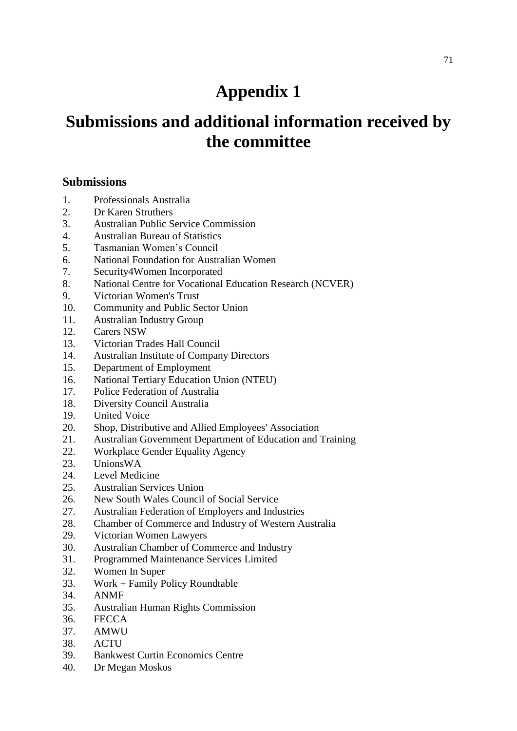# **Appendix 1**

# **Submissions and additional information received by the committee**

## **Submissions**

- 1. Professionals Australia
- 2. Dr Karen Struthers
- 3. Australian Public Service Commission
- 4. Australian Bureau of Statistics
- 5. Tasmanian Women's Council
- 6. National Foundation for Australian Women
- 7. Security4Women Incorporated
- 8. National Centre for Vocational Education Research (NCVER)
- 9. Victorian Women's Trust
- 10. Community and Public Sector Union
- 11. Australian Industry Group
- 12. Carers NSW
- 13. Victorian Trades Hall Council
- 14. Australian Institute of Company Directors
- 15. Department of Employment
- 16. National Tertiary Education Union (NTEU)
- 17. Police Federation of Australia
- 18. Diversity Council Australia
- 19. United Voice
- 20. Shop, Distributive and Allied Employees' Association
- 21. Australian Government Department of Education and Training
- 22. Workplace Gender Equality Agency
- 23. UnionsWA
- 24. Level Medicine
- 25. Australian Services Union
- 26. New South Wales Council of Social Service
- 27. Australian Federation of Employers and Industries
- 28. Chamber of Commerce and Industry of Western Australia
- 29. Victorian Women Lawyers
- 30. Australian Chamber of Commerce and Industry
- 31. Programmed Maintenance Services Limited
- 32. Women In Super
- 33. Work + Family Policy Roundtable
- 34. ANMF
- 35. Australian Human Rights Commission
- 36. FECCA
- 37. AMWU
- 38. ACTU
- 39. Bankwest Curtin Economics Centre
- 40. Dr Megan Moskos